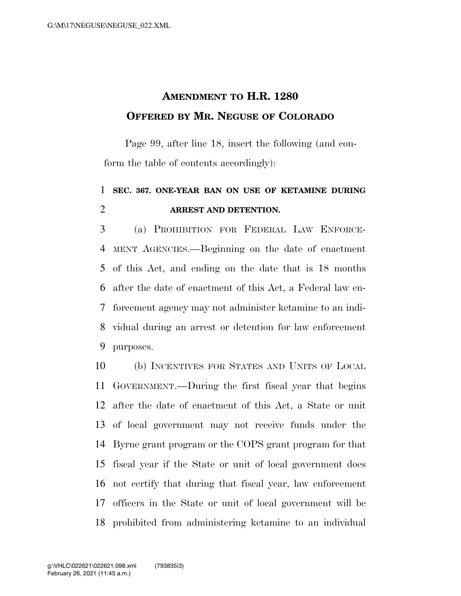## **AMENDMENT TO H.R. 1280 OFFERED BY MR. NEGUSE OF COLORADO**

Page 99, after line 18, insert the following (and conform the table of contents accordingly):

## **SEC. 367. ONE-YEAR BAN ON USE OF KETAMINE DURING ARREST AND DETENTION.**

 (a) PROHIBITION FOR FEDERAL LAW ENFORCE- MENT AGENCIES.—Beginning on the date of enactment of this Act, and ending on the date that is 18 months after the date of enactment of this Act, a Federal law en- forcement agency may not administer ketamine to an indi- vidual during an arrest or detention for law enforcement purposes.

 (b) INCENTIVES FOR STATES AND UNITS OF LOCAL GOVERNMENT.—During the first fiscal year that begins after the date of enactment of this Act, a State or unit of local government may not receive funds under the Byrne grant program or the COPS grant program for that fiscal year if the State or unit of local government does not certify that during that fiscal year, law enforcement officers in the State or unit of local government will be prohibited from administering ketamine to an individual